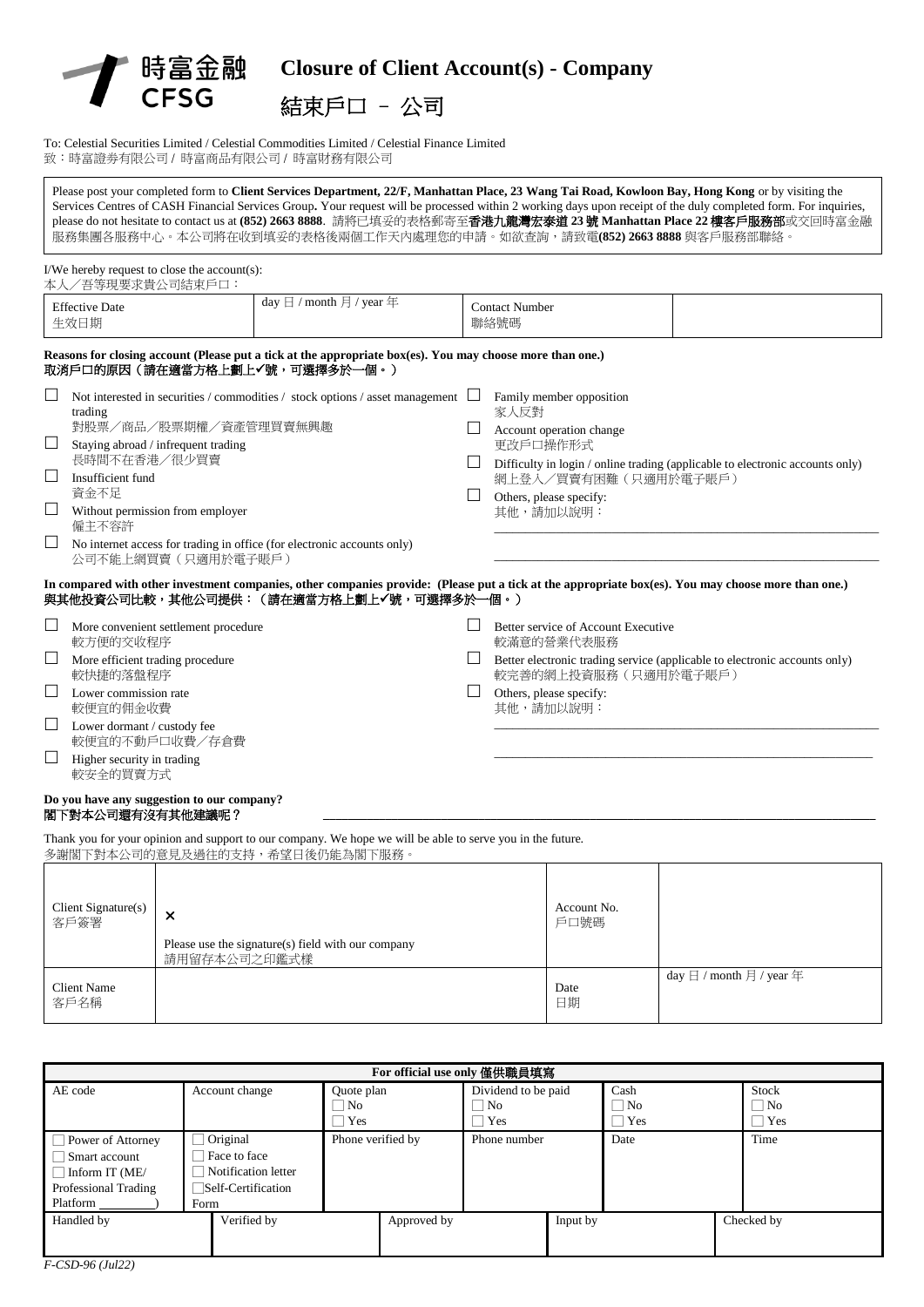

# **Closure of Client Account(s) - Company**

結束戶口 – 公司

To: Celestial Securities Limited / Celestial Commodities Limited / Celestial Finance Limited 致:時富證劵有限公司 / 時富商品有限公司 / 時富財務有限公司

Please post your completed form to **Client Services Department, 22/F, Manhattan Place, 23 Wang Tai Road, Kowloon Bay, Hong Kong** or by visiting the Services Centres of CASH Financial Services Group. Your request will be processed within 2 working days upon receipt of the duly completed form. For inquiries, please do not hesitate to contact us at **(852) 2663 8888**. 請將已填妥的表格郵寄至香港九龍灣宏泰道 **23** 號 **Manhattan Place 22** 樓客戶服務部或交回時富金融 服務集團各服務中心。本公司將在收到填妥的表格後兩個工作天內處理您的申請。如欲查詢,請致電(852) 2663 8888 與客戶服務部聯絡。

I/We hereby request to close the account(s):

| 本人/吾等現要求貴公司結束戶口:<br><b>Effective Date</b><br>生效日期                                                         | day $\boxminus$ / month $\boxminus$ / year $\oplus$ | Contact Number<br>聯絡號碼 |  |  |  |
|-----------------------------------------------------------------------------------------------------------|-----------------------------------------------------|------------------------|--|--|--|
| Reasons for closing account (Please put a tick at the appropriate box(es). You may choose more than one.) |                                                     |                        |  |  |  |

取消戶口的原因(請在適當方格上劃上√號,可選擇多於一個。)

| П<br>$\Box$<br>$\Box$<br>$\Box$                             | Not interested in securities / commodities / stock options / asset management $\Box$<br>trading<br>對股票/商品/股票期權/資產管理買賣無興趣<br>Staying abroad / infrequent trading<br>長時間不在香港/很少買賣<br>Insufficient fund<br>資金不足<br>Without permission from employer<br>僱主不容許 | Family member opposition<br>家人反對<br>Account operation change<br>更改戶口操作形式<br>Difficulty in login / online trading (applicable to electronic accounts only)<br>網上登入/買賣有困難(只適用於電子賬戶)<br>Others, please specify:<br>其他,請加以說明: |
|-------------------------------------------------------------|-----------------------------------------------------------------------------------------------------------------------------------------------------------------------------------------------------------------------------------------------------------|---------------------------------------------------------------------------------------------------------------------------------------------------------------------------------------------------------------------------|
| $\Box$                                                      | No internet access for trading in office (for electronic accounts only)<br>公司不能上網買賣 (只適用於電子賬戶)<br>In compared with other investment companies, other companies provide: (Please put a tick at the appropriate box(es). You may choose more than one.)     |                                                                                                                                                                                                                           |
|                                                             | 與其他投資公司比較,其他公司提供:(請在適當方格上劃上✔號,可選擇多於一個。)                                                                                                                                                                                                                   |                                                                                                                                                                                                                           |
| $\overline{\phantom{a}}$<br>$\Box$<br>$\Box$<br>⊔<br>$\Box$ | More convenient settlement procedure<br>較方便的交收程序<br>More efficient trading procedure<br>較快捷的落盤程序<br>Lower commission rate<br>較便宜的佣金收費<br>Lower dormant / custody fee<br>較便宜的不動戶口收費/存倉費<br>Higher security in trading<br>較安全的買賣方式                          | Better service of Account Executive<br>較滿意的營業代表服務<br>Better electronic trading service (applicable to electronic accounts only)<br>較完善的網上投資服務 (只適用於電子賬戶)<br>Others, please specify:<br>其他,請加以說明:                          |

#### **Do you have any suggestion to our company?** 閣下對本公司還有沒有其他建議呢?

Thank you for your opinion and support to our company. We hope we will be able to serve you in the future. 多謝閣下對本公司的意見及過往的支持,希望日後仍能為閣下服務。

| Client Signature(s)<br>客戶簽署 | $\times$<br>Please use the signature(s) field with our company<br>請用留存本公司之印鑑式樣 | Account No.<br>戶口號碼 |                                                 |
|-----------------------------|--------------------------------------------------------------------------------|---------------------|-------------------------------------------------|
| <b>Client Name</b><br>客戶名稱  |                                                                                | Date<br>日期          | day $\boxminus$ / month $\boxminus$ / year $\#$ |

| For official use only 僅供職員填寫                                                                           |                                                                               |                                |                                    |                                    |                                  |
|--------------------------------------------------------------------------------------------------------|-------------------------------------------------------------------------------|--------------------------------|------------------------------------|------------------------------------|----------------------------------|
| AE code                                                                                                | Account change                                                                | Quote plan<br>$\Box$ No<br>Yes | Dividend to be paid<br>  No<br>Yes | Cash<br>$\Box$ No<br>$\exists$ Yes | <b>Stock</b><br>$\Box$ No<br>Yes |
| $\Box$ Power of Attorney<br>Smart account<br>$\Box$ Inform IT (ME/<br>Professional Trading<br>Platform | Original<br>Face to face<br>Notification letter<br>Self-Certification<br>Form | Phone verified by              | Phone number                       | Date                               | Time                             |
| Handled by                                                                                             | Verified by                                                                   | Approved by                    | Input by                           |                                    | Checked by                       |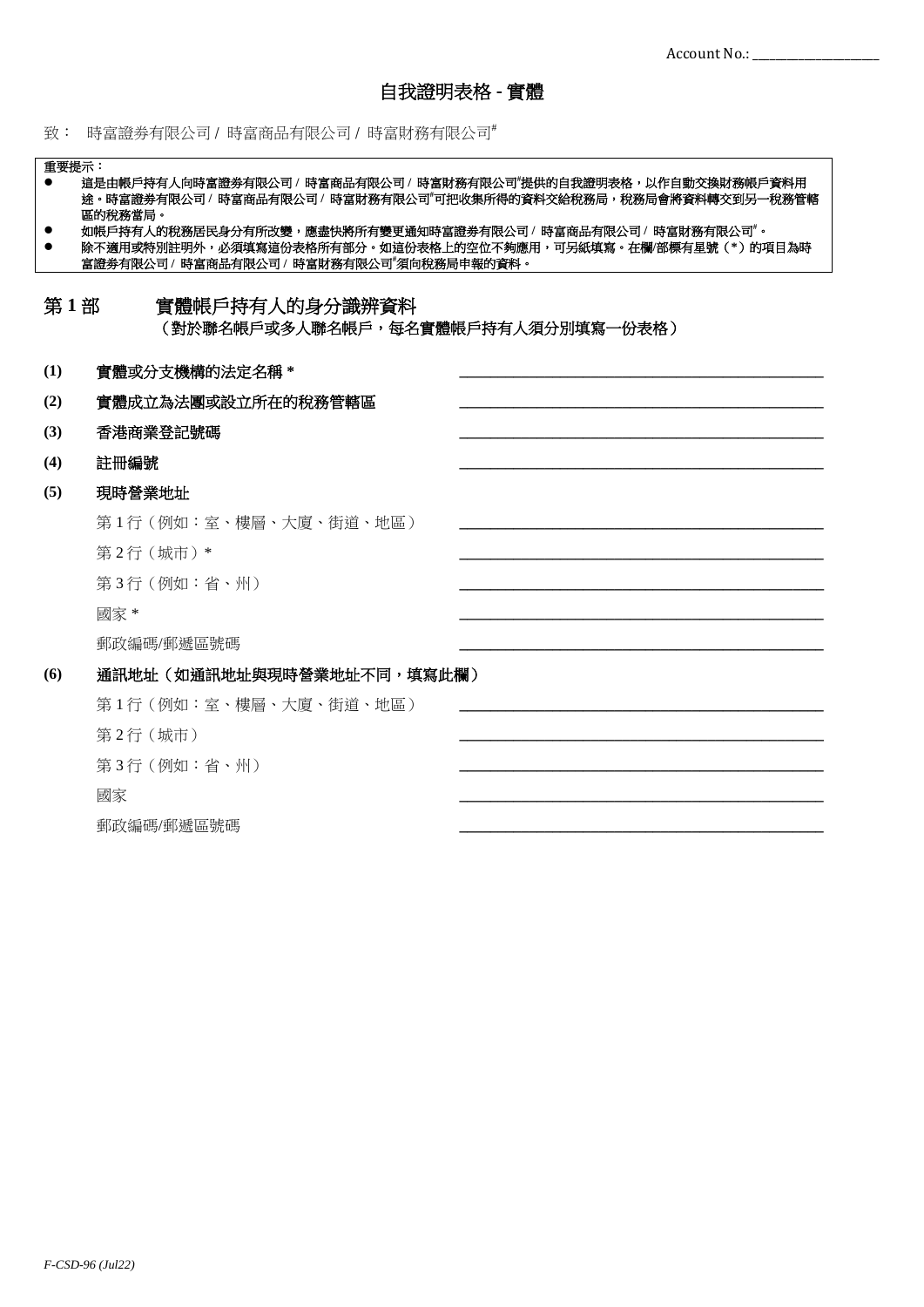致: 時富證劵有限公司 / 時富商品有限公司 / 時富財務有限公司#

|     | 重要提示:<br>這是由帳戶持有人向時富證券有限公司/時富商品有限公司/時富財務有限公司"提供的自我證明表格,以作自動交換財務帳戶資料用<br>途。時富證券有限公司 / 時富商品有限公司 / 時富財務有限公司"可把收集所得的資料交給稅務局,稅務局會將資料轉交到另一稅務管轄<br>區的稅務當局。 |  |  |  |  |  |
|-----|-----------------------------------------------------------------------------------------------------------------------------------------------------|--|--|--|--|--|
|     | 如帳戶持有人的稅務居民身分有所改變,應盡快將所有變更通知時富證券有限公司 / 時富商品有限公司 / 時富財務有限公司"。                                                                                        |  |  |  |  |  |
|     | 除不適用或特別註明外,必須填寫這份表格所有部分。如這份表格上的空位不夠應用,可另紙填寫。在欄/部標有星號(*)的項目為時                                                                                        |  |  |  |  |  |
|     | 富證券有限公司 / 時富商品有限公司 / 時富財務有限公司"須向稅務局申報的資料。                                                                                                           |  |  |  |  |  |
| 第1部 | 實體帳戶持有人的身分識辨資料                                                                                                                                      |  |  |  |  |  |
|     | (對於聯名帳戶或多人聯名帳戶,每名實體帳戶持有人須分別填寫一份表格)                                                                                                                  |  |  |  |  |  |
|     |                                                                                                                                                     |  |  |  |  |  |
| (1) | 實體或分支機構的法定名稱 *                                                                                                                                      |  |  |  |  |  |
| (2) | 實體成立為法團或設立所在的稅務管轄區                                                                                                                                  |  |  |  |  |  |
| (3) | 香港商業登記號碼                                                                                                                                            |  |  |  |  |  |
| (4) | 註冊編號                                                                                                                                                |  |  |  |  |  |
| (5) | 現時營業地址                                                                                                                                              |  |  |  |  |  |
|     | 第1行 (例如:室、樓層、大廈、街道、地區)                                                                                                                              |  |  |  |  |  |
|     | 第2行(城市)*                                                                                                                                            |  |  |  |  |  |
|     | 第3行(例如:省、州)                                                                                                                                         |  |  |  |  |  |
|     | 國家 *                                                                                                                                                |  |  |  |  |  |
|     | 郵政編碼/郵搋區號碼                                                                                                                                          |  |  |  |  |  |
| (6) | 通訊地址(如通訊地址與現時營業地址不同,填寫此欄)                                                                                                                           |  |  |  |  |  |
|     | 第1行 (例如:室、樓層、大廈、街道、地區)                                                                                                                              |  |  |  |  |  |
|     | 第2行(城市)                                                                                                                                             |  |  |  |  |  |
|     | 第3行(例如:省、州)                                                                                                                                         |  |  |  |  |  |
|     | 國家                                                                                                                                                  |  |  |  |  |  |
|     | 郵政編碼/郵遞區號碼                                                                                                                                          |  |  |  |  |  |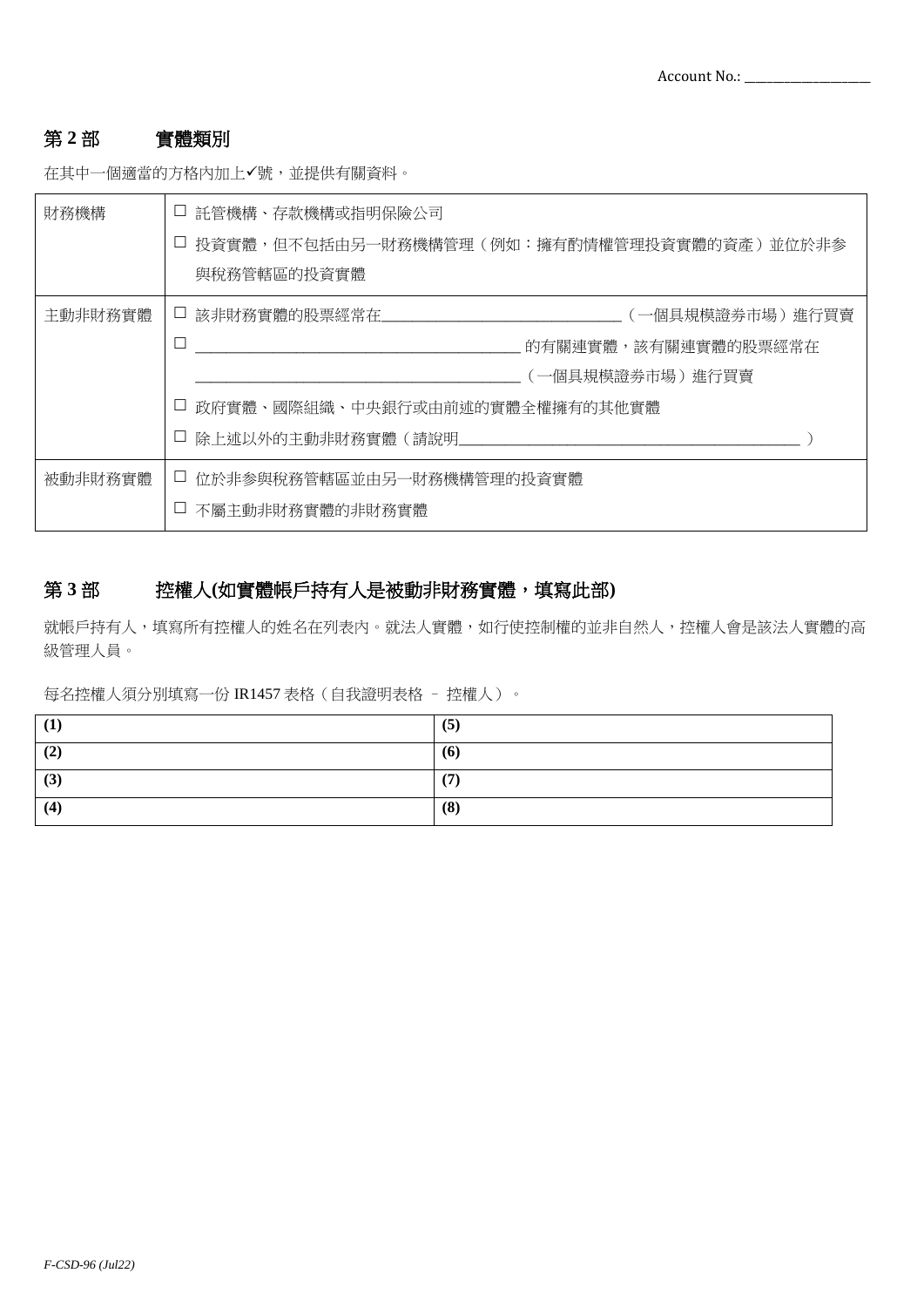# 第 **2** 部 實體類別

在其中一個適當的方格內加上√號,並提供有關資料。

| 財務機構    | 託管機構、存款機構或指明保險公司                                                |  |  |
|---------|-----------------------------------------------------------------|--|--|
|         | 投資實體,但不包括由另一財務機構管理(例如:擁有酌情權管理投資實體的資產)並位於非参                      |  |  |
|         | 與稅務管轄區的投資實體                                                     |  |  |
| 主動非財務實體 | □ 該非財務實體的股票經常在__________________________________(一個具規模證券市場)進行買賣 |  |  |
|         | $\perp$<br>_ 的有關連實體,該有關連實體的股票經常在                                |  |  |
|         | (一個具規模證券市場)進行買賣                                                 |  |  |
|         | □ 政府實體、國際組織、中央銀行或由前述的實體全權擁有的其他實體                                |  |  |
|         | □ 除上述以外的主動非財務實體 (請說明_______________________                     |  |  |
| 被動非財務實體 | □ 位於非参與稅務管轄區並由另一財務機構管理的投資實體                                     |  |  |
|         | □ 不屬主動非財務實體的非財務實體                                               |  |  |

# 第 **3** 部 控權人**(**如實體帳戶持有人是被動非財務實體,填寫此部**)**

就帳戶持有人,填寫所有控權人的姓名在列表內。就法人實體,如行使控制權的並非自然人,控權人會是該法人實體的高 級管理人員。

每名控權人須分別填寫一份 IR1457 表格(自我證明表格 – 控權人)。

| (1) | (5) |
|-----|-----|
| (2) | (6) |
| (3) | (7) |
| (4) | (8) |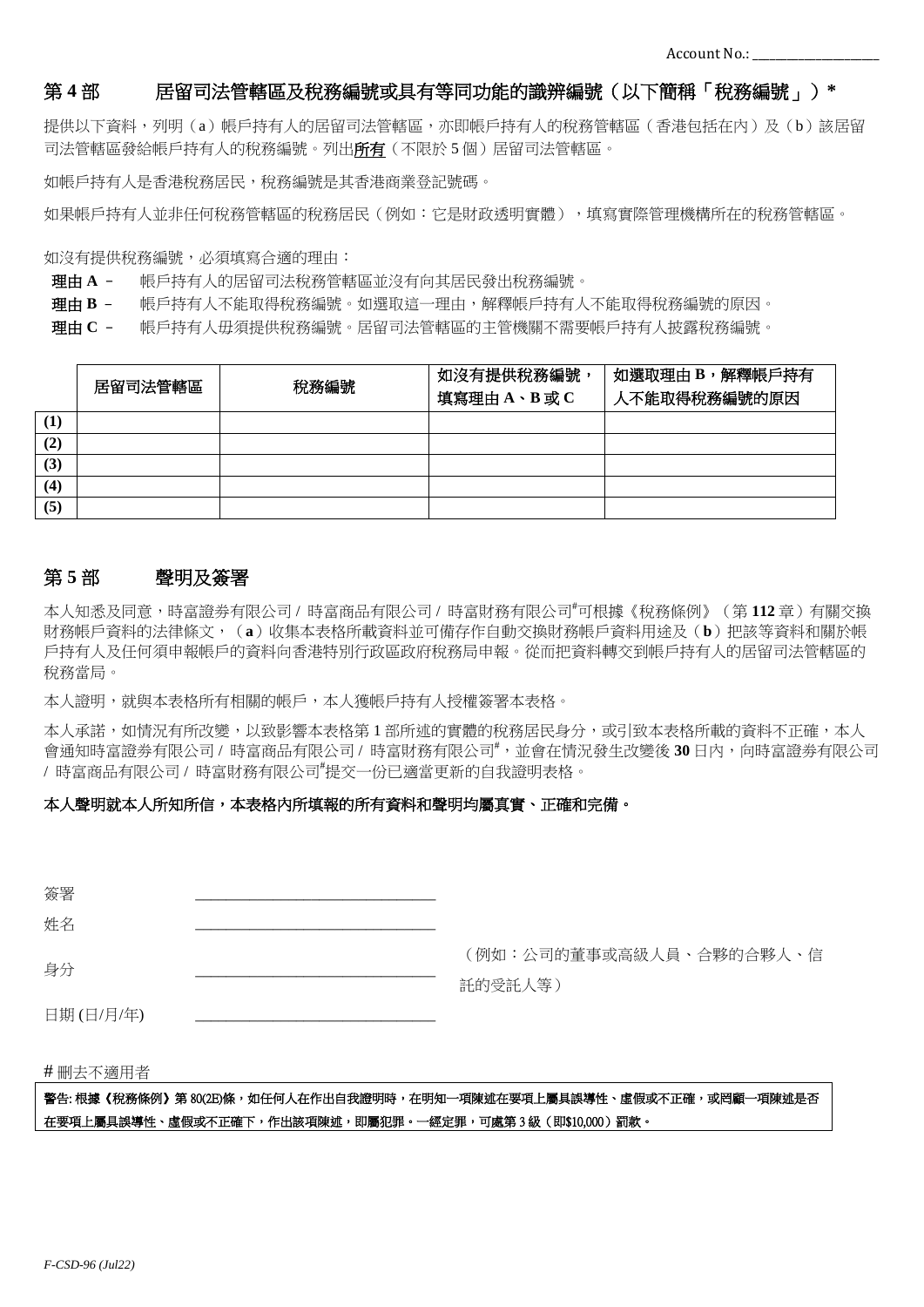## 第 4 部 日 居留司法管轄區及稅務編號或具有等同功能的識辨編號(以下簡稱「稅務編號」) \*

提供以下資料,列明(a)帳戶持有人的居留司法管轄區,亦即帳戶持有人的稅務管轄區(香港包括在內)及(b)該居留 司法管轄區發給帳戶持有人的稅務編號。列出所有(不限於5個)居留司法管轄區。

如帳戶持有人是香港稅務居民,稅務編號是其香港商業登記號碼。

如果帳戶持有人並非任何稅務管轄區的稅務居民(例如:它是財政透明實體),填寫實際管理機構所在的稅務管轄區。

如沒有提供稅務編號,必須填寫合適的理由:

理由 **A** – 帳戶持有人的居留司法稅務管轄區並沒有向其居民發出稅務編號。

理由 **B** – 帳戶持有人不能取得稅務編號。如選取這一理由,解釋帳戶持有人不能取得稅務編號的原因。

理由 **C** – 帳戶持有人毋須提供稅務編號。居留司法管轄區的主管機關不需要帳戶持有人披露稅務編號。

|     | 居留司法管轄區 | 稅務編號 | 如沒有提供稅務編號<br>填寫理由A、B或C | 如選取理由 B,解釋帳戶持有<br>人不能取得稅務編號的原因 |
|-----|---------|------|------------------------|--------------------------------|
| (1) |         |      |                        |                                |
| (2) |         |      |                        |                                |
| (3) |         |      |                        |                                |
| (4) |         |      |                        |                                |
| (5) |         |      |                        |                                |

### 第 **5** 部 聲明及簽署

本人知悉及同意,時富證劵有限公司 / 時富商品有限公司 / 時富財務有限公司#可根據《稅務條例》(第 **112** 章)有關交換 財務帳戶資料的法律條文,(**a**)收集本表格所載資料並可備存作自動交換財務帳戶資料用途及(**b**)把該等資料和關於帳 戶持有人及任何須申報帳戶的資料向香港特別行政區政府稅務局申報。從而把資料轉交到帳戶持有人的居留司法管轄區的 稅務當局。

本人證明,就與本表格所有相關的帳戶,本人獲帳戶持有人授權簽署本表格。

本人承諾,如情況有所改變,以致影響本表格第 1 部所述的實體的稅務居民身分,或引致本表格所載的資料不正確,本人 會通知時富證券有限公司 / 時富商品有限公司 / 時富財務有限公司", 並會在情況發生改變後 30 日内, 向時富證券有限公司 / 時富商品有限公司, 時富財務有限公司, 提交一份已適當更新的自我證明表格。

### 本人聲明就本人所知所信,本表格內所填報的所有資料和聲明均屬真實、正確和完備。

|           | 警告: 根據《稅務條例》第 80(2E)條,如任何人在作出自我證明時,在明知一項陳述在要項上屬具誤導性、虛假或不正確,或罔顧一項陳述是否 |  |
|-----------|----------------------------------------------------------------------|--|
| # 刪去不適用者  |                                                                      |  |
| 日期(日/月/年) |                                                                      |  |
| 身分        | (例如:公司的董事或高級人員、合夥的合夥人、信<br>託的受託人等)                                   |  |
| 姓名        |                                                                      |  |
| 簽署        |                                                                      |  |

在要項上屬具誤導性、虛假或不正確下,作出該項陳述,即屬犯罪。一經定罪,可處第 3 級 ( 即\$10,000 ) 罰款。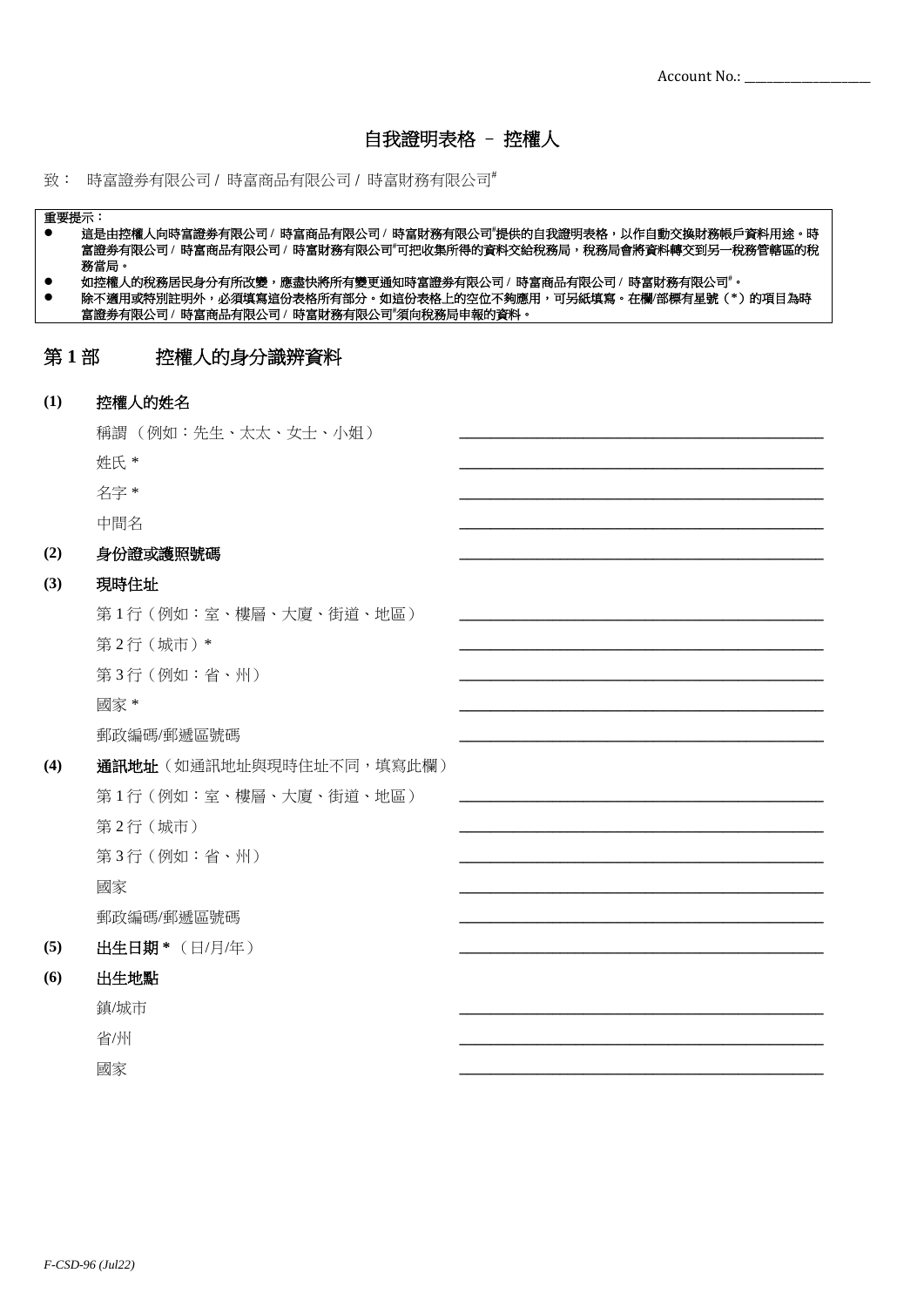Account No.: \_\_\_\_\_\_\_\_\_\_\_\_\_\_\_\_\_\_\_\_\_\_

## 自我證明表格 – 控權人

#### 致: 時富證劵有限公司 / 時富商品有限公司 / 時富財務有限公司#

重要提示:

- 這是由控權人向時富證券有限公司 / 時富商品有限公司 / 時富財務有限公司"提供的自我證明表格,以作自動交換財務帳戶資料用途。時 富證劵有限公司 **/** 時富商品有限公司 **/** 時富財務有限公司**#**可把收集所得的資料交給稅務局,稅務局會將資料轉交到另一稅務管轄區的稅 務當局。
- 如控權人的稅務居民身分有所改變,應盡快將所有變更通知時富證券有限公司 / 時富商品有限公司 / 時富財務有限公司<sup>#</sup>。
- 除不適用或特別註明外,必須填寫這份表格所有部分。如這份表格上的空位不夠應用,可另紙填寫。在欄**/**部標有星號(**\***)的項目為時 富證劵有限公司 **/** 時富商品有限公司 **/** 時富財務有限公司**#**須向稅務局申報的資料。

## 第 **1** 部 控權人的身分識辨資料

### **(1)** 控權人的姓名

| 稱謂 (例如:先生、太太、女士、小姐) |  |
|---------------------|--|
| 姓氏 *                |  |
| 名字 *                |  |
| 中間名                 |  |
|                     |  |

#### **(2)** 身份證或護照號碼 **\_\_\_\_\_\_\_\_\_\_\_\_\_\_\_\_\_\_\_\_\_\_\_\_\_\_\_\_\_\_\_\_\_\_\_\_\_\_\_\_\_\_\_\_\_\_\_**

#### **(3)** 現時住址

第1行(例如:室、樓層、大廈、街道、地區) 第 2 行(城市)\* **\_\_\_\_\_\_\_\_\_\_\_\_\_\_\_\_\_\_\_\_\_\_\_\_\_\_\_\_\_\_\_\_\_\_\_\_\_\_\_\_\_\_\_\_\_\_\_** 第3行(例如:省、州) 國家 \* **\_\_\_\_\_\_\_\_\_\_\_\_\_\_\_\_\_\_\_\_\_\_\_\_\_\_\_\_\_\_\_\_\_\_\_\_\_\_\_\_\_\_\_\_\_\_\_**

郵政編碼/郵遞區號碼

**(4)** 通訊地址(如通訊地址與現時住址不同,填寫此欄) 第1行(例如:室、樓層、大廈、街道、地區)

第 2 行(城市) **\_\_\_\_\_\_\_\_\_\_\_\_\_\_\_\_\_\_\_\_\_\_\_\_\_\_\_\_\_\_\_\_\_\_\_\_\_\_\_\_\_\_\_\_\_\_\_**

第 3 行 (例如:省、州)

國家 **\_\_\_\_\_\_\_\_\_\_\_\_\_\_\_\_\_\_\_\_\_\_\_\_\_\_\_\_\_\_\_\_\_\_\_\_\_\_\_\_\_\_\_\_\_\_\_**

郵政編碼/郵遞區號碼

**(5)** 出生日期 **\*** (日/月/年) **\_\_\_\_\_\_\_\_\_\_\_\_\_\_\_\_\_\_\_\_\_\_\_\_\_\_\_\_\_\_\_\_\_\_\_\_\_\_\_\_\_\_\_\_\_\_\_**

#### **(6)** 出生地點

鎮/城市 **\_\_\_\_\_\_\_\_\_\_\_\_\_\_\_\_\_\_\_\_\_\_\_\_\_\_\_\_\_\_\_\_\_\_\_\_\_\_\_\_\_\_\_\_\_\_\_**

省/州 **\_\_\_\_\_\_\_\_\_\_\_\_\_\_\_\_\_\_\_\_\_\_\_\_\_\_\_\_\_\_\_\_\_\_\_\_\_\_\_\_\_\_\_\_\_\_\_**

國家 **\_\_\_\_\_\_\_\_\_\_\_\_\_\_\_\_\_\_\_\_\_\_\_\_\_\_\_\_\_\_\_\_\_\_\_\_\_\_\_\_\_\_\_\_\_\_\_**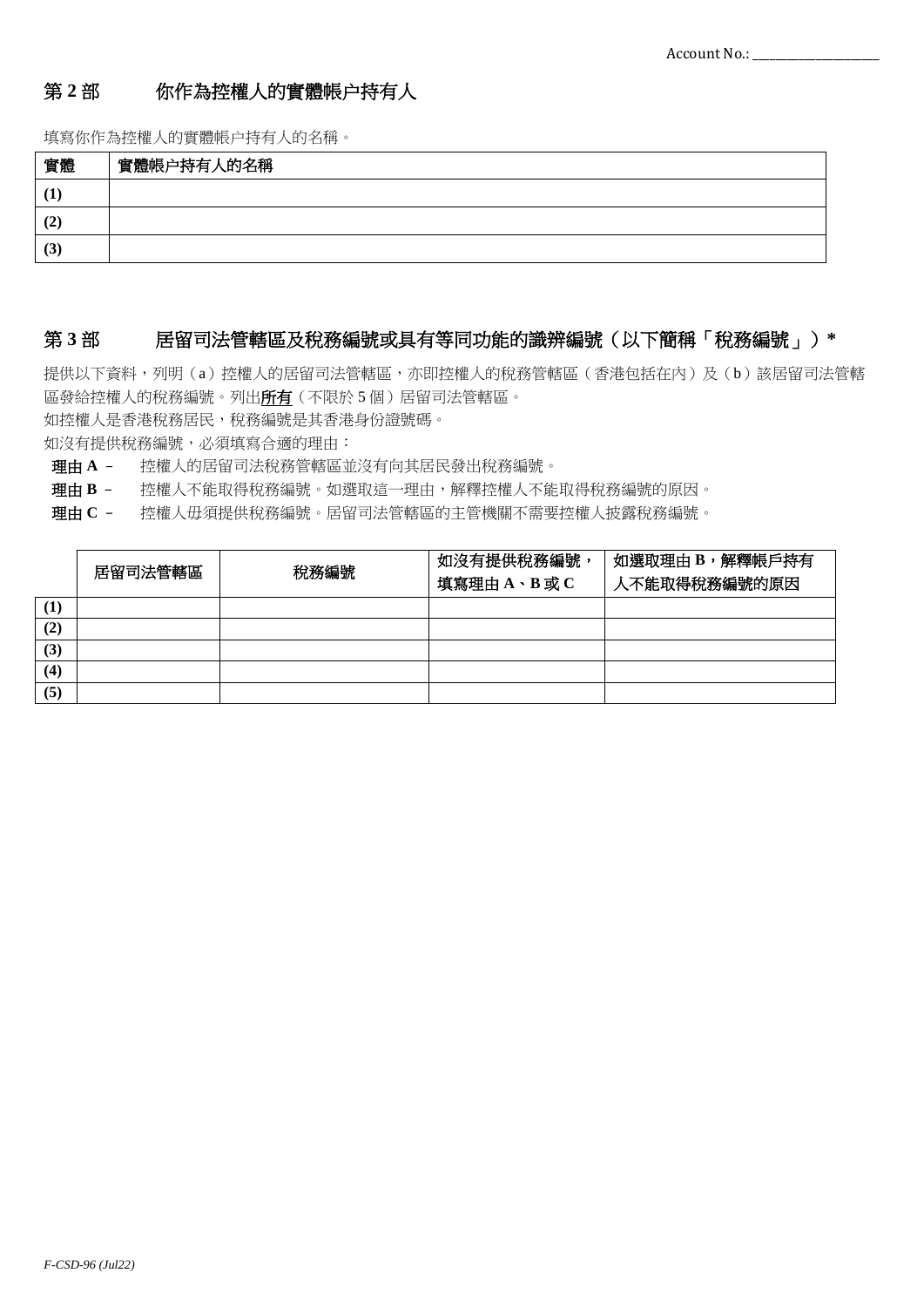# 第 **2** 部 你作為控權人的實體帳户持有人

填寫你作為控權人的實體帳户持有人的名稱。

| 實體               | 實體帳户持有人的名稱 |
|------------------|------------|
| $\left(1\right)$ |            |
| (2)              |            |
| (3)              |            |

## 第 3部 居留司法管轄區及稅務編號或具有等同功能的識辨編號(以下簡稱「稅務編號」)\*

提供以下資料,列明(a)控權人的居留司法管轄區,亦即控權人的稅務管轄區(香港包括在內)及(b)該居留司法管轄 區發給控權人的稅務編號。列出所有(不限於5個)居留司法管轄區。

如控權人是香港稅務居民,稅務編號是其香港身份證號碼。

如沒有提供稅務編號,必須填寫合適的理由:

理由 **A** – 控權人的居留司法稅務管轄區並沒有向其居民發出稅務編號。

理由 **B** – 控權人不能取得稅務編號。如選取這一理由,解釋控權人不能取得稅務編號的原因。

理由 **C** – 控權人毋須提供稅務編號。居留司法管轄區的主管機關不需要控權人披露稅務編號。

|                            | 居留司法管轄區 | 稅務編號 | 如沒有提供稅務編號<br>填寫理由A、B或C | 如選取理由 B,解釋帳戶持有<br>人不能取得税務編號的原因 |
|----------------------------|---------|------|------------------------|--------------------------------|
| $\left( \mathbf{1}\right)$ |         |      |                        |                                |
| (2)                        |         |      |                        |                                |
| (3)                        |         |      |                        |                                |
| (4)                        |         |      |                        |                                |
| (5)                        |         |      |                        |                                |